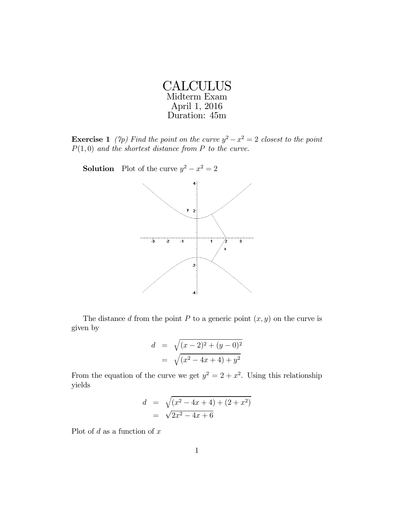

**Exercise 1** (7p) Find the point on the curve  $y^2 - x^2 = 2$  closest to the point  $P(1,0)$  and the shortest distance from P to the curve.

**Solution** Plot of the curve  $y^2 - x^2 = 2$ 



The distance d from the point P to a generic point  $(x, y)$  on the curve is given by

$$
d = \sqrt{(x-2)^2 + (y-0)^2}
$$
  
=  $\sqrt{(x^2 - 4x + 4) + y^2}$ 

From the equation of the curve we get  $y^2 = 2 + x^2$ . Using this relationship yields

$$
d = \sqrt{(x^2 - 4x + 4) + (2 + x^2)}
$$
  
=  $\sqrt{2x^2 - 4x + 6}$ 

Plot of  $d$  as a function of  $x$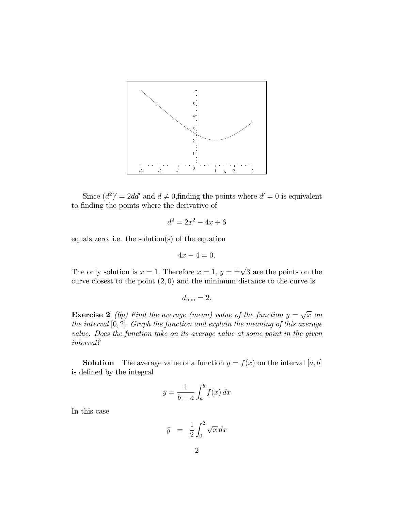

Since  $(d^2)' = 2dd'$  and  $d \neq 0$ , finding the points where  $d' = 0$  is equivalent to finding the points where the derivative of

$$
d^2 = 2x^2 - 4x + 6
$$

equals zero, i.e. the solution(s) of the equation

$$
4x - 4 = 0.
$$

The only solution is  $x = 1$ . Therefore  $x = 1$ ,  $y = \pm \sqrt{3}$  are the points on the curve closest to the point  $(2, 0)$  and the minimum distance to the curve is

 $d_{\min} = 2.$ 

**Exercise 2** (6p) Find the average (mean) value of the function  $y = \sqrt{x}$  on the interval [0, 2]. Graph the function and explain the meaning of this average value. Does the function take on its average value at some point in the given interval?

**Solution** The average value of a function  $y = f(x)$  on the interval [a, b] is defined by the integral

$$
\bar{y} = \frac{1}{b-a} \int_a^b f(x) \, dx
$$

In this case

$$
\bar{y} = \frac{1}{2} \int_0^2 \sqrt{x} \, dx
$$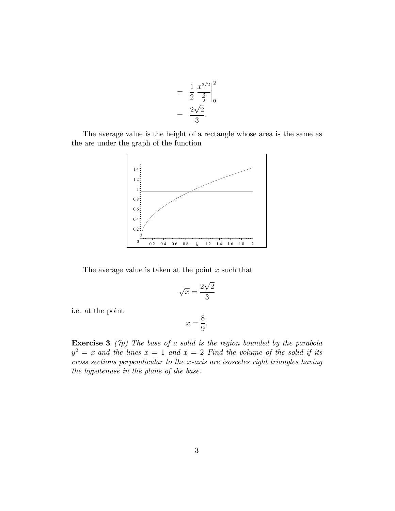$$
= \frac{1}{2} \frac{x^{3/2}}{\frac{3}{2}} \Big|_0^2
$$
  
=  $\frac{2\sqrt{2}}{3}$ .

The average value is the height of a rectangle whose area is the same as the are under the graph of the function



The average value is taken at the point  $x$  such that

$$
\sqrt{x} = \frac{2\sqrt{2}}{3}
$$

i.e. at the point

$$
x = \frac{8}{9}.
$$

**Exercise 3** ( $7p$ ) The base of a solid is the region bounded by the parabola  $y^2 = x$  and the lines  $x = 1$  and  $x = 2$  Find the volume of the solid if its cross sections perpendicular to the x-axis are isosceles right triangles having the hypotenuse in the plane of the base.